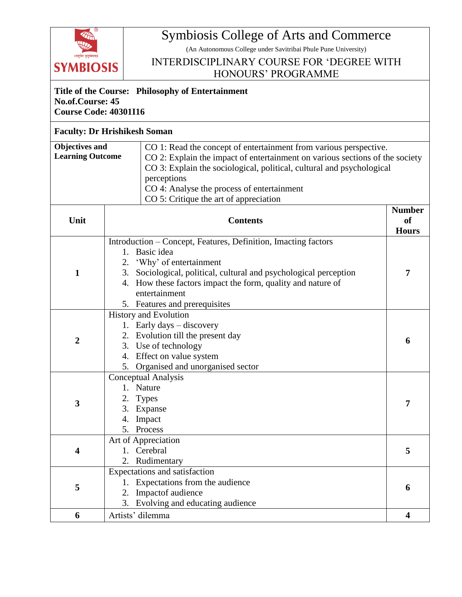

## Symbiosis College of Arts and Commerce

(An Autonomous College under Savitribai Phule Pune University)

## INTERDISCIPLINARY COURSE FOR 'DEGREE WITH HONOURS' PROGRAMME

## **Title of the Course: Philosophy of Entertainment No.of.Course: 45 Course Code: 40301I16**

## **Faculty: Dr Hrishikesh Soman**

| Objectives and          | CO 1: Read the concept of entertainment from various perspective.            |  |  |
|-------------------------|------------------------------------------------------------------------------|--|--|
| <b>Learning Outcome</b> | CO 2: Explain the impact of entertainment on various sections of the society |  |  |
|                         | CO 3: Explain the sociological, political, cultural and psychological        |  |  |
|                         | perceptions                                                                  |  |  |
|                         | CO 4: Analyse the process of entertainment                                   |  |  |
|                         | CO 5: Critique the art of appreciation                                       |  |  |
|                         |                                                                              |  |  |

| Unit                    | <b>Contents</b>                                                                                                                                                                               | <b>Number</b><br><sub>of</sub><br><b>Hours</b> |
|-------------------------|-----------------------------------------------------------------------------------------------------------------------------------------------------------------------------------------------|------------------------------------------------|
| $\mathbf{1}$            | Introduction – Concept, Features, Definition, Imacting factors<br>Basic idea<br>$1_{-}$<br>'Why' of entertainment                                                                             |                                                |
|                         | 3. Sociological, political, cultural and psychological perception<br>4. How these factors impact the form, quality and nature of<br>entertainment<br>5. Features and prerequisites            | $\overline{7}$                                 |
| $\overline{2}$          | <b>History and Evolution</b><br>1. Early days - discovery<br>2. Evolution till the present day<br>3. Use of technology<br>4. Effect on value system<br>Organised and unorganised sector<br>5. | 6                                              |
| $\overline{\mathbf{3}}$ | <b>Conceptual Analysis</b><br>1. Nature<br><b>Types</b><br>3. Expanse<br>Impact<br>4.<br>5. Process                                                                                           | $\overline{7}$                                 |
| $\overline{\mathbf{4}}$ | Art of Appreciation<br>Cerebral<br>$1_{\cdot}$<br>2. Rudimentary                                                                                                                              | 5                                              |
| 5                       | Expectations and satisfaction<br>1. Expectations from the audience<br>2. Impactof audience<br>3. Evolving and educating audience                                                              | 6                                              |
| 6                       | Artists' dilemma                                                                                                                                                                              | 4                                              |